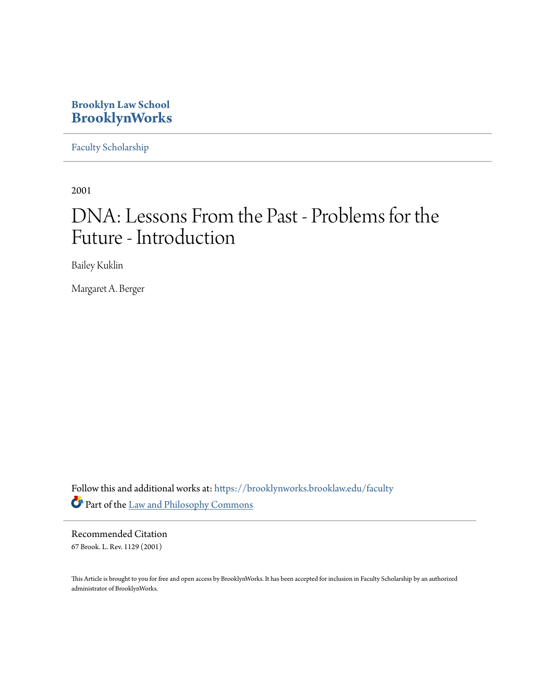### **Brooklyn Law School [BrooklynWorks](https://brooklynworks.brooklaw.edu?utm_source=brooklynworks.brooklaw.edu%2Ffaculty%2F141&utm_medium=PDF&utm_campaign=PDFCoverPages)**

[Faculty Scholarship](https://brooklynworks.brooklaw.edu/faculty?utm_source=brooklynworks.brooklaw.edu%2Ffaculty%2F141&utm_medium=PDF&utm_campaign=PDFCoverPages)

2001

# DNA: Lessons From the Past - Problems for the Future - Introduction

Bailey Kuklin

Margaret A. Berger

Follow this and additional works at: [https://brooklynworks.brooklaw.edu/faculty](https://brooklynworks.brooklaw.edu/faculty?utm_source=brooklynworks.brooklaw.edu%2Ffaculty%2F141&utm_medium=PDF&utm_campaign=PDFCoverPages) Part of the [Law and Philosophy Commons](http://network.bepress.com/hgg/discipline/1299?utm_source=brooklynworks.brooklaw.edu%2Ffaculty%2F141&utm_medium=PDF&utm_campaign=PDFCoverPages)

Recommended Citation 67 Brook. L. Rev. 1129 (2001)

This Article is brought to you for free and open access by BrooklynWorks. It has been accepted for inclusion in Faculty Scholarship by an authorized administrator of BrooklynWorks.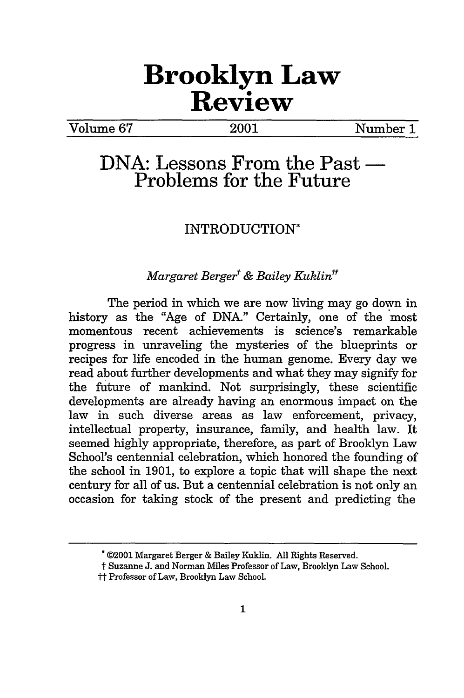## **Brooklyn Law Review**

Volume **67** 2001 Number 1

## **DNA: Lessons From the Past Problems for the Future**

### INTRODUCTION\*

#### *Margaret Berger<sup>t</sup> & Bailey Kuklin<sup>tt</sup>*

The period in which we are now living may go down in history as the "Age of DNA." Certainly, one of the most momentous recent achievements is science's remarkable progress in unraveling the mysteries of the blueprints or recipes for life encoded in the human genome. Every day we read about further developments and what they may signify for the future of mankind. Not surprisingly, these scientific developments are already having an enormous impact on the law in such diverse areas as law enforcement, privacy, intellectual property, insurance, family, and health law. It seemed highly appropriate, therefore, as part of Brooklyn Law School's centennial celebration, which honored the founding of the school in 1901, to explore a topic that will shape the next century for all of us. But a centennial celebration is not only an occasion for taking stock of the present and predicting the

<sup>\*©2001</sup> Margaret Berger & Bailey Kuklin. All Rights Reserved.

t Suzanne J. and Norman Miles Professor of Law, Brooklyn Law School.

tt Professor of Law, Brooklyn Law School.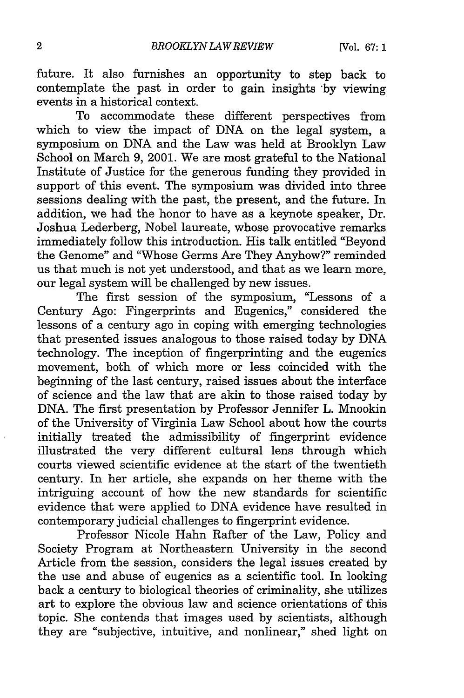future. It also furnishes an opportunity to step back to contemplate the past in order to gain insights **\*by** viewing events in a historical context.

To accommodate these different perspectives from which to view the impact of DNA on the legal system, a symposium on DNA and the Law was held at Brooklyn Law School on March 9, 2001. We are most grateful to the National Institute of Justice for the generous funding they provided in support of this event. The symposium was divided into three sessions dealing with the past, the present, and the future. In addition, we had the honor to have as a keynote speaker, Dr. Joshua Lederberg, Nobel laureate, whose provocative remarks immediately follow this introduction. His talk entitled "Beyond the Genome" and "Whose Germs Are They Anyhow?" reminded us that much is not yet understood, and that as we learn more, our legal system will be challenged by new issues.

The first session of the symposium, "Lessons of a Century Ago: Fingerprints and Eugenics," considered the lessons of a century ago in coping with emerging technologies that presented issues analogous to those raised today by DNA technology. The inception of fingerprinting and the eugenics movement, both of which more or less coincided with the beginning of the last century, raised issues about the interface of science and the law that are akin to those raised today by DNA. The first presentation by Professor Jennifer L. Mnookin of the University of Virginia Law School about how the courts initially treated the admissibility of fingerprint evidence illustrated the very different cultural lens through which courts viewed scientific evidence at the start of the twentieth century. In her article, she expands on her theme with the intriguing account of how the new standards for scientific evidence that were applied to DNA evidence have resulted in contemporary judicial challenges to fingerprint evidence.

Professor Nicole Hahn Rafter of the Law, Policy and Society Program at Northeastern University in the second Article from the session, considers the legal issues created by the use and abuse of eugenics as a scientific tool. In looking back a century to biological theories of criminality, she utilizes art to explore the obvious law and science orientations of this topic. She contends that images used by scientists, although they are "subjective, intuitive, and nonlinear," shed light on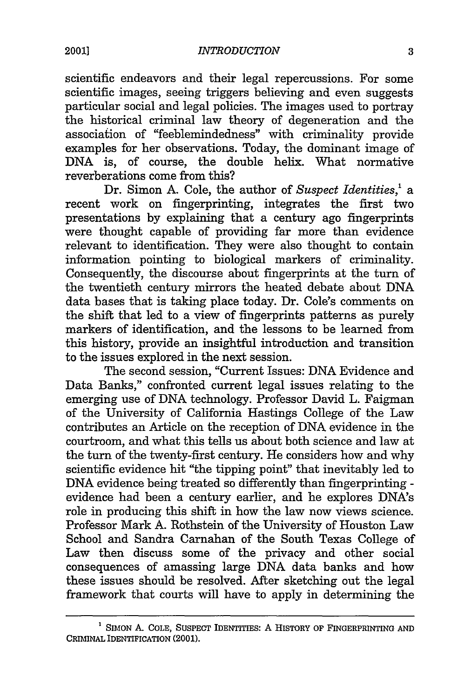scientific endeavors and their legal repercussions. For some scientific images, seeing triggers believing and even suggests particular social and legal policies. The images used to portray the historical criminal law theory of degeneration and the association of "feeblemindedness" with criminality provide examples for her observations. Today, the dominant image of DNA is, of course, the double helix. What normative reverberations come from this?

Dr. Simon A. Cole, the author of *Suspect Identities,' a* recent work on fingerprinting, integrates the first two presentations by explaining that a century ago fingerprints were thought capable of providing far more than evidence relevant to identification. They were also thought to contain information pointing to biological markers of criminality. Consequently, the discourse about fingerprints at the turn of the twentieth century mirrors the heated debate about DNA data bases that is taking place today. Dr. Cole's comments on the shift that led to a view of fingerprints patterns as purely markers of identification, and the lessons to be learned from this history, provide an insightful introduction and transition to the issues explored in the next session.

The second session, "Current Issues: DNA Evidence and Data Banks," confronted current legal issues relating to the emerging use of DNA technology. Professor David L. Faigman of the University of California Hastings College of the Law contributes an Article on the reception of DNA evidence in the courtroom, and what this tells us about both science and law at the turn of the twenty-first century. He considers how and why scientific evidence hit "the tipping point" that inevitably led to DNA evidence being treated so differently than fingerprinting evidence had been a century earlier, and he explores DNA's role in producing this shift in how the law now views science. Professor Mark A. Rothstein of the University of Houston Law School and Sandra Carnahan of the South Texas College of Law then discuss some of the privacy and other social consequences of amassing large DNA data banks and how these issues should be resolved. After sketching out the legal framework that courts will have to apply in determining the

**<sup>1</sup>**SIMON **A.** COLE, SUSPECT IDENTITIES: **A** HISTORY **OF** FINGERPRINTING **AND** CRIMINAL **IDENTIFICATION (2001).**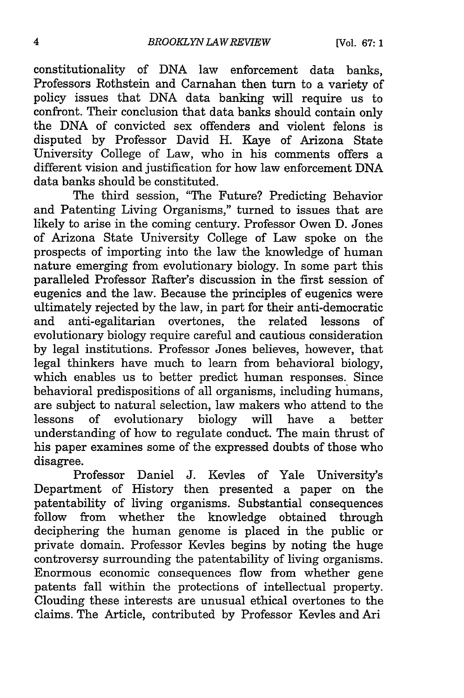constitutionality of DNA law enforcement data banks, Professors Rothstein and Carnahan then turn to a variety of policy issues that DNA data banking will require us to confront. Their conclusion that data banks should contain only the DNA of convicted sex offenders and violent felons is disputed by Professor David H. Kaye of Arizona State University College of Law, who in his comments offers a different vision and justification for how law enforcement DNA data banks should be constituted.

The third session, "The Future? Predicting Behavior and Patenting Living Organisms," turned to issues that are likely to arise in the coming century. Professor Owen D. Jones of Arizona State University College of Law spoke on the prospects of importing into the law the knowledge of human nature emerging from evolutionary biology. In some part this paralleled Professor Rafter's discussion in the first session of eugenics and the law. Because the principles of eugenics were ultimately rejected by the law, in part for their anti-democratic and anti-egalitarian overtones, the related lessons of evolutionary biology require careful and cautious consideration by legal institutions. Professor Jones believes, however, that legal thinkers have much to learn from behavioral biology, which enables us to better predict human responses. Since behavioral predispositions of all organisms, including humans, are subject to natural selection, law makers who attend to the lessons of evolutionary biology will have a better understanding of how to regulate conduct. The main thrust of his paper examines some of the expressed doubts of those who disagree.

Professor Daniel J. Kevles of Yale University's Department of History then presented a paper on the patentability of living organisms. Substantial consequences follow from whether the knowledge obtained through deciphering the human genome is placed in the public or private domain. Professor Kevles begins by noting the huge controversy surrounding the patentability of living organisms. Enormous economic consequences flow from whether gene patents fall within the protections of intellectual property. Clouding these interests are unusual ethical overtones to the claims. The Article, contributed by Professor Kevles and Ari